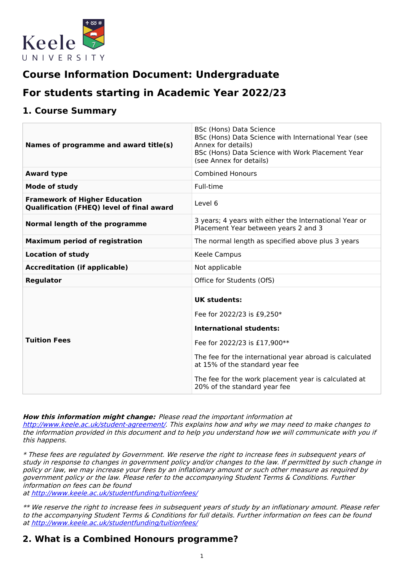

# **Course Information Document: Undergraduate**

# **For students starting in Academic Year 2022/23**

# **1. Course Summary**

| Names of programme and award title(s)                                                    | <b>BSc (Hons) Data Science</b><br>BSc (Hons) Data Science with International Year (see<br>Annex for details)<br>BSc (Hons) Data Science with Work Placement Year<br>(see Annex for details) |
|------------------------------------------------------------------------------------------|---------------------------------------------------------------------------------------------------------------------------------------------------------------------------------------------|
| <b>Award type</b>                                                                        | <b>Combined Honours</b>                                                                                                                                                                     |
| <b>Mode of study</b>                                                                     | Full-time                                                                                                                                                                                   |
| <b>Framework of Higher Education</b><br><b>Qualification (FHEQ) level of final award</b> | Level 6                                                                                                                                                                                     |
| Normal length of the programme                                                           | 3 years; 4 years with either the International Year or<br>Placement Year between years 2 and 3                                                                                              |
| <b>Maximum period of registration</b>                                                    | The normal length as specified above plus 3 years                                                                                                                                           |
| <b>Location of study</b>                                                                 | Keele Campus                                                                                                                                                                                |
| <b>Accreditation (if applicable)</b>                                                     | Not applicable                                                                                                                                                                              |
| Regulator                                                                                | Office for Students (OfS)                                                                                                                                                                   |
|                                                                                          | <b>UK students:</b><br>Fee for 2022/23 is £9,250*<br><b>International students:</b>                                                                                                         |
| <b>Tuition Fees</b>                                                                      | Fee for 2022/23 is £17,900**                                                                                                                                                                |
|                                                                                          |                                                                                                                                                                                             |
|                                                                                          | The fee for the international year abroad is calculated<br>at 15% of the standard year fee                                                                                                  |
|                                                                                          | The fee for the work placement year is calculated at<br>20% of the standard year fee                                                                                                        |

### **How this information might change:** Please read the important information at

<http://www.keele.ac.uk/student-agreement/>. This explains how and why we may need to make changes to the information provided in this document and to help you understand how we will communicate with you if this happens.

\* These fees are regulated by Government. We reserve the right to increase fees in subsequent years of study in response to changes in government policy and/or changes to the law. If permitted by such change in policy or law, we may increase your fees by an inflationary amount or such other measure as required by government policy or the law. Please refer to the accompanying Student Terms & Conditions. Further information on fees can be found

at <http://www.keele.ac.uk/studentfunding/tuitionfees/>

\*\* We reserve the right to increase fees in subsequent years of study by an inflationary amount. Please refer to the accompanying Student Terms & Conditions for full details. Further information on fees can be found at <http://www.keele.ac.uk/studentfunding/tuitionfees/>

# **2. What is a Combined Honours programme?**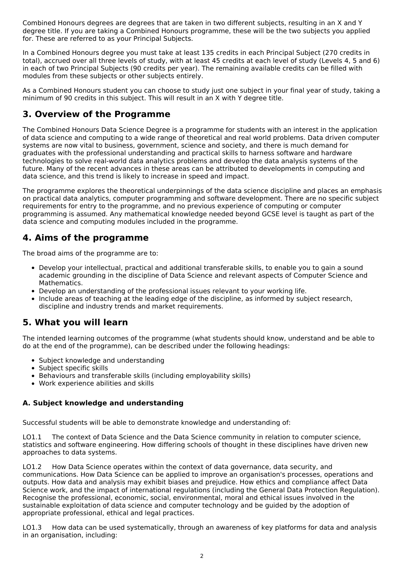Combined Honours degrees are degrees that are taken in two different subjects, resulting in an X and Y degree title. If you are taking a Combined Honours programme, these will be the two subjects you applied for. These are referred to as your Principal Subjects.

In a Combined Honours degree you must take at least 135 credits in each Principal Subject (270 credits in total), accrued over all three levels of study, with at least 45 credits at each level of study (Levels 4, 5 and 6) in each of two Principal Subjects (90 credits per year). The remaining available credits can be filled with modules from these subjects or other subjects entirely.

As a Combined Honours student you can choose to study just one subject in your final year of study, taking a minimum of 90 credits in this subject. This will result in an X with Y degree title.

# **3. Overview of the Programme**

The Combined Honours Data Science Degree is a programme for students with an interest in the application of data science and computing to a wide range of theoretical and real world problems. Data driven computer systems are now vital to business, government, science and society, and there is much demand for graduates with the professional understanding and practical skills to harness software and hardware technologies to solve real-world data analytics problems and develop the data analysis systems of the future. Many of the recent advances in these areas can be attributed to developments in computing and data science, and this trend is likely to increase in speed and impact.

The programme explores the theoretical underpinnings of the data science discipline and places an emphasis on practical data analytics, computer programming and software development. There are no specific subject requirements for entry to the programme, and no previous experience of computing or computer programming is assumed. Any mathematical knowledge needed beyond GCSE level is taught as part of the data science and computing modules included in the programme.

# **4. Aims of the programme**

The broad aims of the programme are to:

- Develop your intellectual, practical and additional transferable skills, to enable you to gain a sound academic grounding in the discipline of Data Science and relevant aspects of Computer Science and Mathematics.
- Develop an understanding of the professional issues relevant to your working life.
- Include areas of teaching at the leading edge of the discipline, as informed by subject research, discipline and industry trends and market requirements.

# **5. What you will learn**

The intended learning outcomes of the programme (what students should know, understand and be able to do at the end of the programme), can be described under the following headings:

- Subject knowledge and understanding
- Subject specific skills
- Behaviours and transferable skills (including employability skills)
- Work experience abilities and skills

## **A. Subject knowledge and understanding**

Successful students will be able to demonstrate knowledge and understanding of:

LO1.1 The context of Data Science and the Data Science community in relation to computer science, statistics and software engineering. How differing schools of thought in these disciplines have driven new approaches to data systems.

LO1.2 How Data Science operates within the context of data governance, data security, and communications. How Data Science can be applied to improve an organisation's processes, operations and outputs. How data and analysis may exhibit biases and prejudice. How ethics and compliance affect Data Science work, and the impact of international regulations (including the General Data Protection Regulation). Recognise the professional, economic, social, environmental, moral and ethical issues involved in the sustainable exploitation of data science and computer technology and be guided by the adoption of appropriate professional, ethical and legal practices.

LO1.3 How data can be used systematically, through an awareness of key platforms for data and analysis in an organisation, including: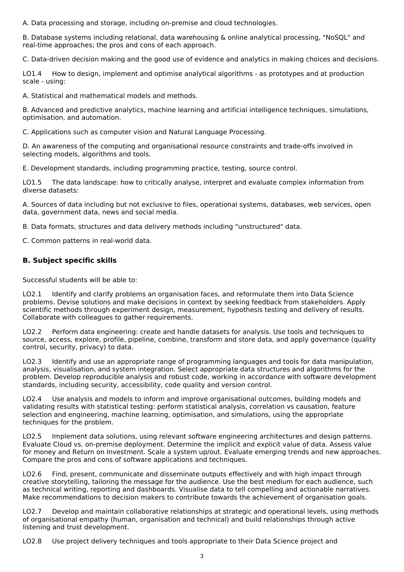A. Data processing and storage, including on-premise and cloud technologies.

B. Database systems including relational, data warehousing & online analytical processing, "NoSQL" and real-time approaches; the pros and cons of each approach.

C. Data-driven decision making and the good use of evidence and analytics in making choices and decisions.

LO1.4 How to design, implement and optimise analytical algorithms - as prototypes and at production scale - using:

A. Statistical and mathematical models and methods.

B. Advanced and predictive analytics, machine learning and artificial intelligence techniques, simulations, optimisation, and automation.

C. Applications such as computer vision and Natural Language Processing.

D. An awareness of the computing and organisational resource constraints and trade-offs involved in selecting models, algorithms and tools.

E. Development standards, including programming practice, testing, source control.

LO1.5 The data landscape: how to critically analyse, interpret and evaluate complex information from diverse datasets:

A. Sources of data including but not exclusive to files, operational systems, databases, web services, open data, government data, news and social media.

B. Data formats, structures and data delivery methods including "unstructured" data.

C. Common patterns in real-world data.

## **B. Subject specific skills**

Successful students will be able to:

LO2.1 Identify and clarify problems an organisation faces, and reformulate them into Data Science problems. Devise solutions and make decisions in context by seeking feedback from stakeholders. Apply scientific methods through experiment design, measurement, hypothesis testing and delivery of results. Collaborate with colleagues to gather requirements.

LO2.2 Perform data engineering: create and handle datasets for analysis. Use tools and techniques to source, access, explore, profile, pipeline, combine, transform and store data, and apply governance (quality control, security, privacy) to data.

LO2.3 Identify and use an appropriate range of programming languages and tools for data manipulation, analysis, visualisation, and system integration. Select appropriate data structures and algorithms for the problem. Develop reproducible analysis and robust code, working in accordance with software development standards, including security, accessibility, code quality and version control.

LO2.4 Use analysis and models to inform and improve organisational outcomes, building models and validating results with statistical testing: perform statistical analysis, correlation vs causation, feature selection and engineering, machine learning, optimisation, and simulations, using the appropriate techniques for the problem.

LO2.5 Implement data solutions, using relevant software engineering architectures and design patterns. Evaluate Cloud vs. on-premise deployment. Determine the implicit and explicit value of data. Assess value for money and Return on Investment. Scale a system up/out. Evaluate emerging trends and new approaches. Compare the pros and cons of software applications and techniques.

LO2.6 Find, present, communicate and disseminate outputs effectively and with high impact through creative storytelling, tailoring the message for the audience. Use the best medium for each audience, such as technical writing, reporting and dashboards. Visualise data to tell compelling and actionable narratives. Make recommendations to decision makers to contribute towards the achievement of organisation goals.

LO2.7 Develop and maintain collaborative relationships at strategic and operational levels, using methods of organisational empathy (human, organisation and technical) and build relationships through active listening and trust development.

LO2.8 Use project delivery techniques and tools appropriate to their Data Science project and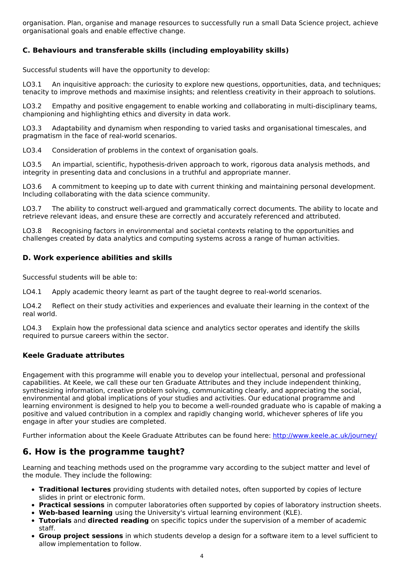organisation. Plan, organise and manage resources to successfully run a small Data Science project, achieve organisational goals and enable effective change.

## **C. Behaviours and transferable skills (including employability skills)**

Successful students will have the opportunity to develop:

LO3.1 An inquisitive approach: the curiosity to explore new questions, opportunities, data, and techniques; tenacity to improve methods and maximise insights; and relentless creativity in their approach to solutions.

LO3.2 Empathy and positive engagement to enable working and collaborating in multi-disciplinary teams, championing and highlighting ethics and diversity in data work.

LO3.3 Adaptability and dynamism when responding to varied tasks and organisational timescales, and pragmatism in the face of real-world scenarios.

LO3.4 Consideration of problems in the context of organisation goals.

LO3.5 An impartial, scientific, hypothesis-driven approach to work, rigorous data analysis methods, and integrity in presenting data and conclusions in a truthful and appropriate manner.

LO3.6 A commitment to keeping up to date with current thinking and maintaining personal development. Including collaborating with the data science community.

LO3.7 The ability to construct well-argued and grammatically correct documents. The ability to locate and retrieve relevant ideas, and ensure these are correctly and accurately referenced and attributed.

LO3.8 Recognising factors in environmental and societal contexts relating to the opportunities and challenges created by data analytics and computing systems across a range of human activities.

## **D. Work experience abilities and skills**

Successful students will be able to:

LO4.1 Apply academic theory learnt as part of the taught degree to real-world scenarios.

LO4.2 Reflect on their study activities and experiences and evaluate their learning in the context of the real world.

LO4.3 Explain how the professional data science and analytics sector operates and identify the skills required to pursue careers within the sector.

### **Keele Graduate attributes**

Engagement with this programme will enable you to develop your intellectual, personal and professional capabilities. At Keele, we call these our ten Graduate Attributes and they include independent thinking, synthesizing information, creative problem solving, communicating clearly, and appreciating the social, environmental and global implications of your studies and activities. Our educational programme and learning environment is designed to help you to become a well-rounded graduate who is capable of making a positive and valued contribution in a complex and rapidly changing world, whichever spheres of life you engage in after your studies are completed.

Further information about the Keele Graduate Attributes can be found here: <http://www.keele.ac.uk/journey/>

# **6. How is the programme taught?**

Learning and teaching methods used on the programme vary according to the subject matter and level of the module. They include the following:

- **Traditional lectures** providing students with detailed notes, often supported by copies of lecture slides in print or electronic form.
- **Practical sessions** in computer laboratories often supported by copies of laboratory instruction sheets.
- **Web-based learning** using the University's virtual learning environment (KLE).
- **Tutorials** and **directed reading** on specific topics under the supervision of a member of academic staff.
- **Group project sessions** in which students develop a design for a software item to a level sufficient to allow implementation to follow.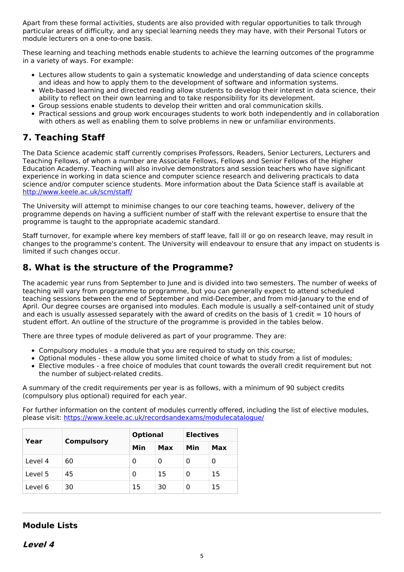Apart from these formal activities, students are also provided with regular opportunities to talk through particular areas of difficulty, and any special learning needs they may have, with their Personal Tutors or module lecturers on a one-to-one basis.

These learning and teaching methods enable students to achieve the learning outcomes of the programme in a variety of ways. For example:

- Lectures allow students to gain a systematic knowledge and understanding of data science concepts and ideas and how to apply them to the development of software and information systems.
- Web-based learning and directed reading allow students to develop their interest in data science, their ability to reflect on their own learning and to take responsibility for its development.
- Group sessions enable students to develop their written and oral communication skills.
- Practical sessions and group work encourages students to work both independently and in collaboration with others as well as enabling them to solve problems in new or unfamiliar environments.

# **7. Teaching Staff**

The Data Science academic staff currently comprises Professors, Readers, Senior Lecturers, Lecturers and Teaching Fellows, of whom a number are Associate Fellows, Fellows and Senior Fellows of the Higher Education Academy. Teaching will also involve demonstrators and session teachers who have significant experience in working in data science and computer science research and delivering practicals to data science and/or computer science students. More information about the Data Science staff is available at <http://www.keele.ac.uk/scm/staff/>

The University will attempt to minimise changes to our core teaching teams, however, delivery of the programme depends on having a sufficient number of staff with the relevant expertise to ensure that the programme is taught to the appropriate academic standard.

Staff turnover, for example where key members of staff leave, fall ill or go on research leave, may result in changes to the programme's content. The University will endeavour to ensure that any impact on students is limited if such changes occur.

# **8. What is the structure of the Programme?**

The academic year runs from September to June and is divided into two semesters. The number of weeks of teaching will vary from programme to programme, but you can generally expect to attend scheduled teaching sessions between the end of September and mid-December, and from mid-January to the end of April. Our degree courses are organised into modules. Each module is usually a self-contained unit of study and each is usually assessed separately with the award of credits on the basis of 1 credit  $= 10$  hours of student effort. An outline of the structure of the programme is provided in the tables below.

There are three types of module delivered as part of your programme. They are:

- Compulsory modules a module that you are required to study on this course;
- Optional modules these allow you some limited choice of what to study from a list of modules;
- Elective modules a free choice of modules that count towards the overall credit requirement but not  $\bullet$ the number of subject-related credits.

A summary of the credit requirements per year is as follows, with a minimum of 90 subject credits (compulsory plus optional) required for each year.

For further information on the content of modules currently offered, including the list of elective modules, please visit: <https://www.keele.ac.uk/recordsandexams/modulecatalogue/>

|         |                   | <b>Optional</b> |     | <b>Electives</b> |     |
|---------|-------------------|-----------------|-----|------------------|-----|
| Year    | <b>Compulsory</b> | Min             | Max | Min              | Max |
| Level 4 | 60                | 0               | 0   | Ω                | 0   |
| Level 5 | 45                | 0               | 15  | Ω                | 15  |
| Level 6 | 30                | 15              | 30  | Ω                | 15  |

## **Module Lists**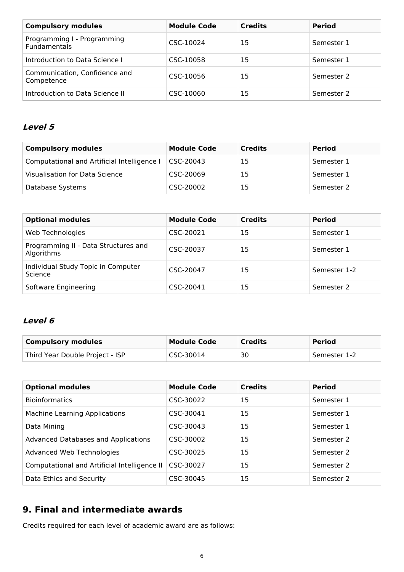| <b>Compulsory modules</b>                          | <b>Module Code</b> | <b>Credits</b> | <b>Period</b> |
|----------------------------------------------------|--------------------|----------------|---------------|
| Programming I - Programming<br><b>Fundamentals</b> | CSC-10024          | 15             | Semester 1    |
| Introduction to Data Science I                     | CSC-10058          | 15             | Semester 1    |
| Communication, Confidence and<br>Competence        | CSC-10056          | 15             | Semester 2    |
| Introduction to Data Science II                    | CSC-10060          | 15             | Semester 2    |

# **Level 5**

| <b>Compulsory modules</b>                   | <b>Module Code</b> | <b>Credits</b> | <b>Period</b> |
|---------------------------------------------|--------------------|----------------|---------------|
| Computational and Artificial Intelligence I | CSC-20043          | 15             | Semester 1    |
| Visualisation for Data Science              | CSC-20069          | 15             | Semester 1    |
| Database Systems                            | CSC-20002          | 15             | Semester 2    |

| <b>Optional modules</b>                            | <b>Module Code</b> | <b>Credits</b> | <b>Period</b> |
|----------------------------------------------------|--------------------|----------------|---------------|
| Web Technologies                                   | CSC-20021          | 15             | Semester 1    |
| Programming II - Data Structures and<br>Algorithms | CSC-20037          | 15             | Semester 1    |
| Individual Study Topic in Computer<br>Science      | CSC-20047          | 15             | Semester 1-2  |
| Software Engineering                               | CSC-20041          | 15             | Semester 2    |

# **Level 6**

| <b>Compulsory modules</b>       | <b>Module Code</b> | <b>Credits</b> | <b>Period</b> |
|---------------------------------|--------------------|----------------|---------------|
| Third Year Double Project - ISP | CSC-30014          | 30             | Semester 1-2  |

| <b>Optional modules</b>                      | <b>Module Code</b> | <b>Credits</b> | <b>Period</b> |
|----------------------------------------------|--------------------|----------------|---------------|
| <b>Bioinformatics</b>                        | CSC-30022          | 15             | Semester 1    |
| <b>Machine Learning Applications</b>         | CSC-30041          | 15             | Semester 1    |
| Data Mining                                  | CSC-30043          | 15             | Semester 1    |
| Advanced Databases and Applications          | CSC-30002          | 15             | Semester 2    |
| Advanced Web Technologies                    | CSC-30025          | 15             | Semester 2    |
| Computational and Artificial Intelligence II | CSC-30027          | 15             | Semester 2    |
| Data Ethics and Security                     | CSC-30045          | 15             | Semester 2    |

# **9. Final and intermediate awards**

Credits required for each level of academic award are as follows: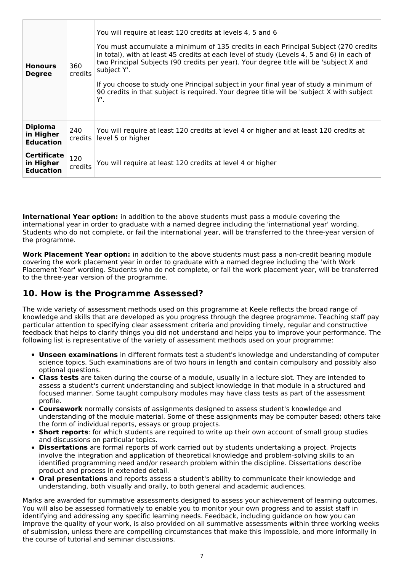| <b>Honours</b><br><b>Degree</b>                     | 360<br>credits            | You will require at least 120 credits at levels 4, 5 and 6<br>You must accumulate a minimum of 135 credits in each Principal Subject (270 credits<br>in total), with at least 45 credits at each level of study (Levels 4, 5 and 6) in each of<br>two Principal Subjects (90 credits per year). Your degree title will be 'subject X and<br>subject Y'.<br>If you choose to study one Principal subject in your final year of study a minimum of<br>90 credits in that subject is required. Your degree title will be 'subject X with subject<br>Υ'. |
|-----------------------------------------------------|---------------------------|------------------------------------------------------------------------------------------------------------------------------------------------------------------------------------------------------------------------------------------------------------------------------------------------------------------------------------------------------------------------------------------------------------------------------------------------------------------------------------------------------------------------------------------------------|
| <b>Diploma</b><br>in Higher<br><b>Education</b>     | 240<br>$c$ redits $\vert$ | You will require at least 120 credits at level 4 or higher and at least 120 credits at<br>level 5 or higher                                                                                                                                                                                                                                                                                                                                                                                                                                          |
| <b>Certificate</b><br>in Higher<br><b>Education</b> | 120<br>credits            | You will require at least 120 credits at level 4 or higher                                                                                                                                                                                                                                                                                                                                                                                                                                                                                           |

**International Year option:** in addition to the above students must pass a module covering the international year in order to graduate with a named degree including the 'international year' wording. Students who do not complete, or fail the international year, will be transferred to the three-year version of the programme.

**Work Placement Year option:** in addition to the above students must pass a non-credit bearing module covering the work placement year in order to graduate with a named degree including the 'with Work Placement Year' wording. Students who do not complete, or fail the work placement year, will be transferred to the three-year version of the programme.

# **10. How is the Programme Assessed?**

The wide variety of assessment methods used on this programme at Keele reflects the broad range of knowledge and skills that are developed as you progress through the degree programme. Teaching staff pay particular attention to specifying clear assessment criteria and providing timely, regular and constructive feedback that helps to clarify things you did not understand and helps you to improve your performance. The following list is representative of the variety of assessment methods used on your programme:

- **Unseen examinations** in different formats test a student's knowledge and understanding of computer science topics. Such examinations are of two hours in length and contain compulsory and possibly also optional questions.
- **Class tests** are taken during the course of a module, usually in a lecture slot. They are intended to assess a student's current understanding and subject knowledge in that module in a structured and focused manner. Some taught compulsory modules may have class tests as part of the assessment profile.
- **Coursework** normally consists of assignments designed to assess student's knowledge and understanding of the module material. Some of these assignments may be computer based; others take the form of individual reports, essays or group projects.
- **Short reports**: for which students are required to write up their own account of small group studies and discussions on particular topics.
- **Dissertations** are formal reports of work carried out by students undertaking a project. Projects involve the integration and application of theoretical knowledge and problem-solving skills to an identified programming need and/or research problem within the discipline. Dissertations describe product and process in extended detail.
- **Oral presentations** and reports assess a student's ability to communicate their knowledge and understanding, both visually and orally, to both general and academic audiences.

Marks are awarded for summative assessments designed to assess your achievement of learning outcomes. You will also be assessed formatively to enable you to monitor your own progress and to assist staff in identifying and addressing any specific learning needs. Feedback, including guidance on how you can improve the quality of your work, is also provided on all summative assessments within three working weeks of submission, unless there are compelling circumstances that make this impossible, and more informally in the course of tutorial and seminar discussions.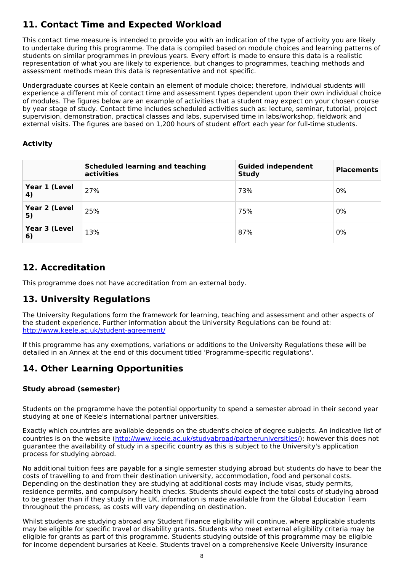# **11. Contact Time and Expected Workload**

This contact time measure is intended to provide you with an indication of the type of activity you are likely to undertake during this programme. The data is compiled based on module choices and learning patterns of students on similar programmes in previous years. Every effort is made to ensure this data is a realistic representation of what you are likely to experience, but changes to programmes, teaching methods and assessment methods mean this data is representative and not specific.

Undergraduate courses at Keele contain an element of module choice; therefore, individual students will experience a different mix of contact time and assessment types dependent upon their own individual choice of modules. The figures below are an example of activities that a student may expect on your chosen course by year stage of study. Contact time includes scheduled activities such as: lecture, seminar, tutorial, project supervision, demonstration, practical classes and labs, supervised time in labs/workshop, fieldwork and external visits. The figures are based on 1,200 hours of student effort each year for full-time students.

## **Activity**

|                     | <b>Scheduled learning and teaching</b><br>activities | <b>Guided independent</b><br><b>Study</b> | <b>Placements</b> |
|---------------------|------------------------------------------------------|-------------------------------------------|-------------------|
| Year 1 (Level<br>4) | 27%                                                  | 73%                                       | 0%                |
| Year 2 (Level<br>5) | 25%                                                  | 75%                                       | 0%                |
| Year 3 (Level<br>6) | 13%                                                  | 87%                                       | 0%                |

# **12. Accreditation**

This programme does not have accreditation from an external body.

# **13. University Regulations**

The University Regulations form the framework for learning, teaching and assessment and other aspects of the student experience. Further information about the University Regulations can be found at: <http://www.keele.ac.uk/student-agreement/>

If this programme has any exemptions, variations or additions to the University Regulations these will be detailed in an Annex at the end of this document titled 'Programme-specific regulations'.

# **14. Other Learning Opportunities**

## **Study abroad (semester)**

Students on the programme have the potential opportunity to spend a semester abroad in their second year studying at one of Keele's international partner universities.

Exactly which countries are available depends on the student's choice of degree subjects. An indicative list of countries is on the website (<http://www.keele.ac.uk/studyabroad/partneruniversities/>); however this does not guarantee the availability of study in a specific country as this is subject to the University's application process for studying abroad.

No additional tuition fees are payable for a single semester studying abroad but students do have to bear the costs of travelling to and from their destination university, accommodation, food and personal costs. Depending on the destination they are studying at additional costs may include visas, study permits, residence permits, and compulsory health checks. Students should expect the total costs of studying abroad to be greater than if they study in the UK, information is made available from the Global Education Team throughout the process, as costs will vary depending on destination.

Whilst students are studying abroad any Student Finance eligibility will continue, where applicable students may be eligible for specific travel or disability grants. Students who meet external eligibility criteria may be eligible for grants as part of this programme. Students studying outside of this programme may be eligible for income dependent bursaries at Keele. Students travel on a comprehensive Keele University insurance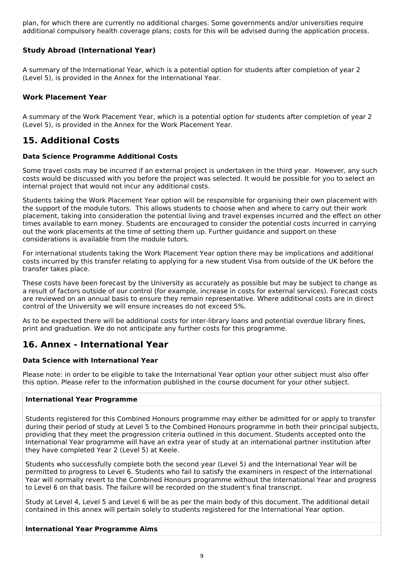plan, for which there are currently no additional charges. Some governments and/or universities require additional compulsory health coverage plans; costs for this will be advised during the application process.

## **Study Abroad (International Year)**

A summary of the International Year, which is a potential option for students after completion of year 2 (Level 5), is provided in the Annex for the International Year.

## **Work Placement Year**

A summary of the Work Placement Year, which is a potential option for students after completion of year 2 (Level 5), is provided in the Annex for the Work Placement Year.

# **15. Additional Costs**

### **Data Science Programme Additional Costs**

Some travel costs may be incurred if an external project is undertaken in the third year. However, any such costs would be discussed with you before the project was selected. It would be possible for you to select an internal project that would not incur any additional costs.

Students taking the Work Placement Year option will be responsible for organising their own placement with the support of the module tutors. This allows students to choose when and where to carry out their work placement, taking into consideration the potential living and travel expenses incurred and the effect on other times available to earn money. Students are encouraged to consider the potential costs incurred in carrying out the work placements at the time of setting them up. Further guidance and support on these considerations is available from the module tutors.

For international students taking the Work Placement Year option there may be implications and additional costs incurred by this transfer relating to applying for a new student Visa from outside of the UK before the transfer takes place.

These costs have been forecast by the University as accurately as possible but may be subject to change as a result of factors outside of our control (for example, increase in costs for external services). Forecast costs are reviewed on an annual basis to ensure they remain representative. Where additional costs are in direct control of the University we will ensure increases do not exceed 5%.

As to be expected there will be additional costs for inter-library loans and potential overdue library fines, print and graduation. We do not anticipate any further costs for this programme.

# **16. Annex - International Year**

### **Data Science with International Year**

Please note: in order to be eligible to take the International Year option your other subject must also offer this option. Please refer to the information published in the course document for your other subject.

### **International Year Programme**

Students registered for this Combined Honours programme may either be admitted for or apply to transfer during their period of study at Level 5 to the Combined Honours programme in both their principal subjects, providing that they meet the progression criteria outlined in this document. Students accepted onto the International Year programme will have an extra year of study at an international partner institution after they have completed Year 2 (Level 5) at Keele.

Students who successfully complete both the second year (Level 5) and the International Year will be permitted to progress to Level 6. Students who fail to satisfy the examiners in respect of the International Year will normally revert to the Combined Honours programme without the International Year and progress to Level 6 on that basis. The failure will be recorded on the student's final transcript.

Study at Level 4, Level 5 and Level 6 will be as per the main body of this document. The additional detail contained in this annex will pertain solely to students registered for the International Year option.

### **International Year Programme Aims**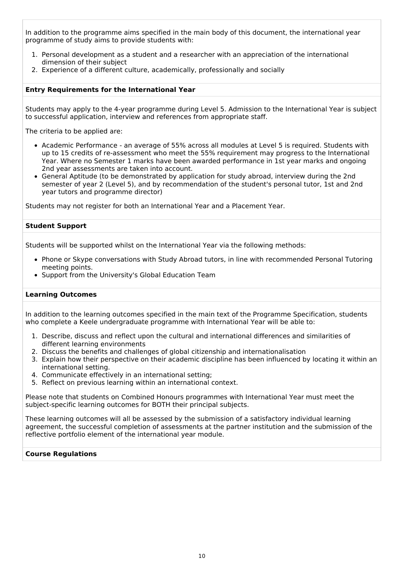In addition to the programme aims specified in the main body of this document, the international year programme of study aims to provide students with:

- 1. Personal development as a student and a researcher with an appreciation of the international dimension of their subject
- 2. Experience of a different culture, academically, professionally and socially

#### **Entry Requirements for the International Year**

Students may apply to the 4-year programme during Level 5. Admission to the International Year is subject to successful application, interview and references from appropriate staff.

The criteria to be applied are:

- Academic Performance an average of 55% across all modules at Level 5 is required. Students with up to 15 credits of re-assessment who meet the 55% requirement may progress to the International Year. Where no Semester 1 marks have been awarded performance in 1st year marks and ongoing 2nd year assessments are taken into account.
- General Aptitude (to be demonstrated by application for study abroad, interview during the 2nd semester of year 2 (Level 5), and by recommendation of the student's personal tutor, 1st and 2nd year tutors and programme director)

Students may not register for both an International Year and a Placement Year.

#### **Student Support**

Students will be supported whilst on the International Year via the following methods:

- Phone or Skype conversations with Study Abroad tutors, in line with recommended Personal Tutoring meeting points.
- Support from the University's Global Education Team

#### **Learning Outcomes**

In addition to the learning outcomes specified in the main text of the Programme Specification, students who complete a Keele undergraduate programme with International Year will be able to:

- 1. Describe, discuss and reflect upon the cultural and international differences and similarities of different learning environments
- 2. Discuss the benefits and challenges of global citizenship and internationalisation
- 3. Explain how their perspective on their academic discipline has been influenced by locating it within an international setting.
- 4. Communicate effectively in an international setting;
- 5. Reflect on previous learning within an international context.

Please note that students on Combined Honours programmes with International Year must meet the subject-specific learning outcomes for BOTH their principal subjects.

These learning outcomes will all be assessed by the submission of a satisfactory individual learning agreement, the successful completion of assessments at the partner institution and the submission of the reflective portfolio element of the international year module.

#### **Course Regulations**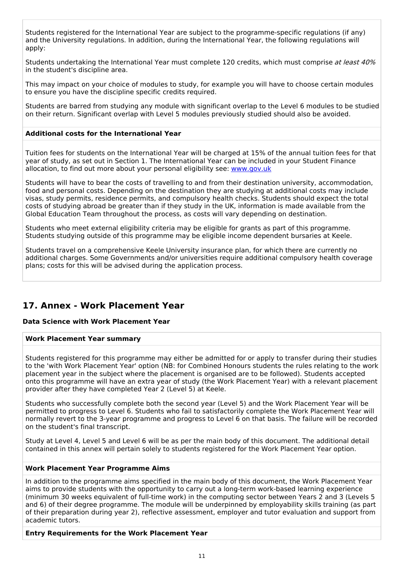Students registered for the International Year are subject to the programme-specific regulations (if any) and the University regulations. In addition, during the International Year, the following regulations will apply:

Students undertaking the International Year must complete 120 credits, which must comprise at least 40% in the student's discipline area.

This may impact on your choice of modules to study, for example you will have to choose certain modules to ensure you have the discipline specific credits required.

Students are barred from studying any module with significant overlap to the Level 6 modules to be studied on their return. Significant overlap with Level 5 modules previously studied should also be avoided.

### **Additional costs for the International Year**

Tuition fees for students on the International Year will be charged at 15% of the annual tuition fees for that year of study, as set out in Section 1. The International Year can be included in your Student Finance allocation, to find out more about your personal eligibility see: [www.gov.uk](http://www.gov.uk/)

Students will have to bear the costs of travelling to and from their destination university, accommodation, food and personal costs. Depending on the destination they are studying at additional costs may include visas, study permits, residence permits, and compulsory health checks. Students should expect the total costs of studying abroad be greater than if they study in the UK, information is made available from the Global Education Team throughout the process, as costs will vary depending on destination.

Students who meet external eligibility criteria may be eligible for grants as part of this programme. Students studying outside of this programme may be eligible income dependent bursaries at Keele.

Students travel on a comprehensive Keele University insurance plan, for which there are currently no additional charges. Some Governments and/or universities require additional compulsory health coverage plans; costs for this will be advised during the application process.

# **17. Annex - Work Placement Year**

### **Data Science with Work Placement Year**

### **Work Placement Year summary**

Students registered for this programme may either be admitted for or apply to transfer during their studies to the 'with Work Placement Year' option (NB: for Combined Honours students the rules relating to the work placement year in the subject where the placement is organised are to be followed). Students accepted onto this programme will have an extra year of study (the Work Placement Year) with a relevant placement provider after they have completed Year 2 (Level 5) at Keele.

Students who successfully complete both the second year (Level 5) and the Work Placement Year will be permitted to progress to Level 6. Students who fail to satisfactorily complete the Work Placement Year will normally revert to the 3-year programme and progress to Level 6 on that basis. The failure will be recorded on the student's final transcript.

Study at Level 4, Level 5 and Level 6 will be as per the main body of this document. The additional detail contained in this annex will pertain solely to students registered for the Work Placement Year option.

### **Work Placement Year Programme Aims**

In addition to the programme aims specified in the main body of this document, the Work Placement Year aims to provide students with the opportunity to carry out a long-term work-based learning experience (minimum 30 weeks equivalent of full-time work) in the computing sector between Years 2 and 3 (Levels 5 and 6) of their degree programme. The module will be underpinned by employability skills training (as part of their preparation during year 2), reflective assessment, employer and tutor evaluation and support from academic tutors.

### **Entry Requirements for the Work Placement Year**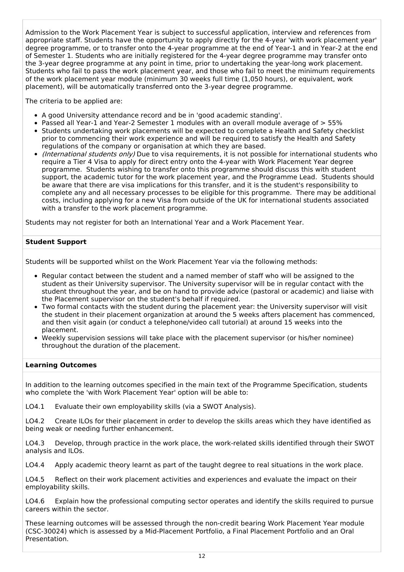Admission to the Work Placement Year is subject to successful application, interview and references from appropriate staff. Students have the opportunity to apply directly for the 4-year 'with work placement year' degree programme, or to transfer onto the 4-year programme at the end of Year-1 and in Year-2 at the end of Semester 1. Students who are initially registered for the 4-year degree programme may transfer onto the 3-year degree programme at any point in time, prior to undertaking the year-long work placement. Students who fail to pass the work placement year, and those who fail to meet the minimum requirements of the work placement year module (minimum 30 weeks full time (1,050 hours), or equivalent, work placement), will be automatically transferred onto the 3-year degree programme.

The criteria to be applied are:

- A good University attendance record and be in 'good academic standing'.
- Passed all Year-1 and Year-2 Semester 1 modules with an overall module average of > 55%
- Students undertaking work placements will be expected to complete a Health and Safety checklist prior to commencing their work experience and will be required to satisfy the Health and Safety regulations of the company or organisation at which they are based.
- (International students only) Due to visa requirements, it is not possible for international students who require a Tier 4 Visa to apply for direct entry onto the 4-year with Work Placement Year degree programme. Students wishing to transfer onto this programme should discuss this with student support, the academic tutor for the work placement year, and the Programme Lead. Students should be aware that there are visa implications for this transfer, and it is the student's responsibility to complete any and all necessary processes to be eligible for this programme. There may be additional costs, including applying for a new Visa from outside of the UK for international students associated with a transfer to the work placement programme.

Students may not register for both an International Year and a Work Placement Year.

### **Student Support**

Students will be supported whilst on the Work Placement Year via the following methods:

- Regular contact between the student and a named member of staff who will be assigned to the student as their University supervisor. The University supervisor will be in regular contact with the student throughout the year, and be on hand to provide advice (pastoral or academic) and liaise with the Placement supervisor on the student's behalf if required.
- Two formal contacts with the student during the placement year: the University supervisor will visit the student in their placement organization at around the 5 weeks afters placement has commenced, and then visit again (or conduct a telephone/video call tutorial) at around 15 weeks into the placement.
- Weekly supervision sessions will take place with the placement supervisor (or his/her nominee) throughout the duration of the placement.

### **Learning Outcomes**

In addition to the learning outcomes specified in the main text of the Programme Specification, students who complete the 'with Work Placement Year' option will be able to:

LO4.1 Evaluate their own employability skills (via a SWOT Analysis).

LO4.2 Create ILOs for their placement in order to develop the skills areas which they have identified as being weak or needing further enhancement.

LO4.3 Develop, through practice in the work place, the work-related skills identified through their SWOT analysis and ILOs.

LO4.4 Apply academic theory learnt as part of the taught degree to real situations in the work place.

LO4.5 Reflect on their work placement activities and experiences and evaluate the impact on their employability skills.

LO4.6 Explain how the professional computing sector operates and identify the skills required to pursue careers within the sector.

These learning outcomes will be assessed through the non-credit bearing Work Placement Year module (CSC-30024) which is assessed by a Mid-Placement Portfolio, a Final Placement Portfolio and an Oral Presentation.